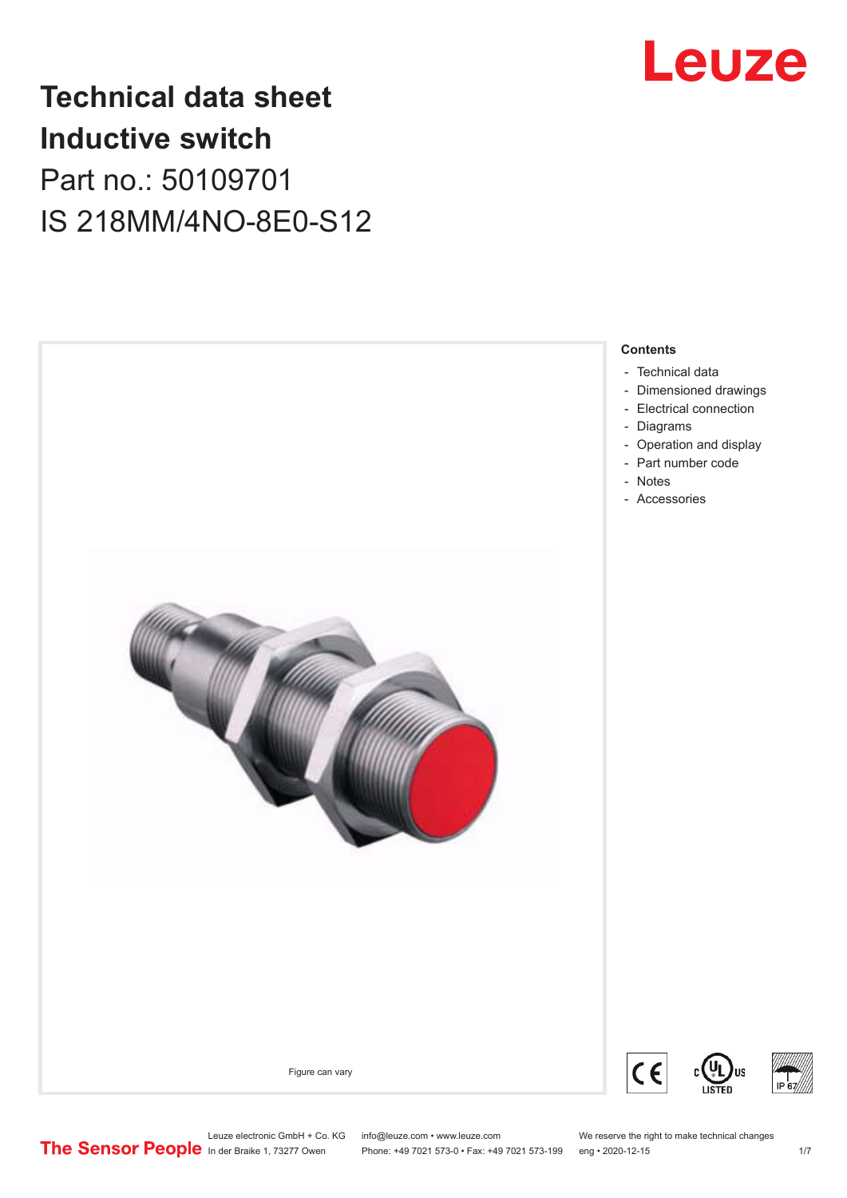

# **Technical data sheet Inductive switch** Part no.: 50109701 IS 218MM/4NO-8E0-S12



Leuze electronic GmbH + Co. KG info@leuze.com • www.leuze.com We reserve the right to make technical changes<br>
The Sensor People in der Braike 1, 73277 Owen Phone: +49 7021 573-0 • Fax: +49 7021 573-199 eng • 2020-12-15

Phone: +49 7021 573-0 • Fax: +49 7021 573-199 eng • 2020-12-15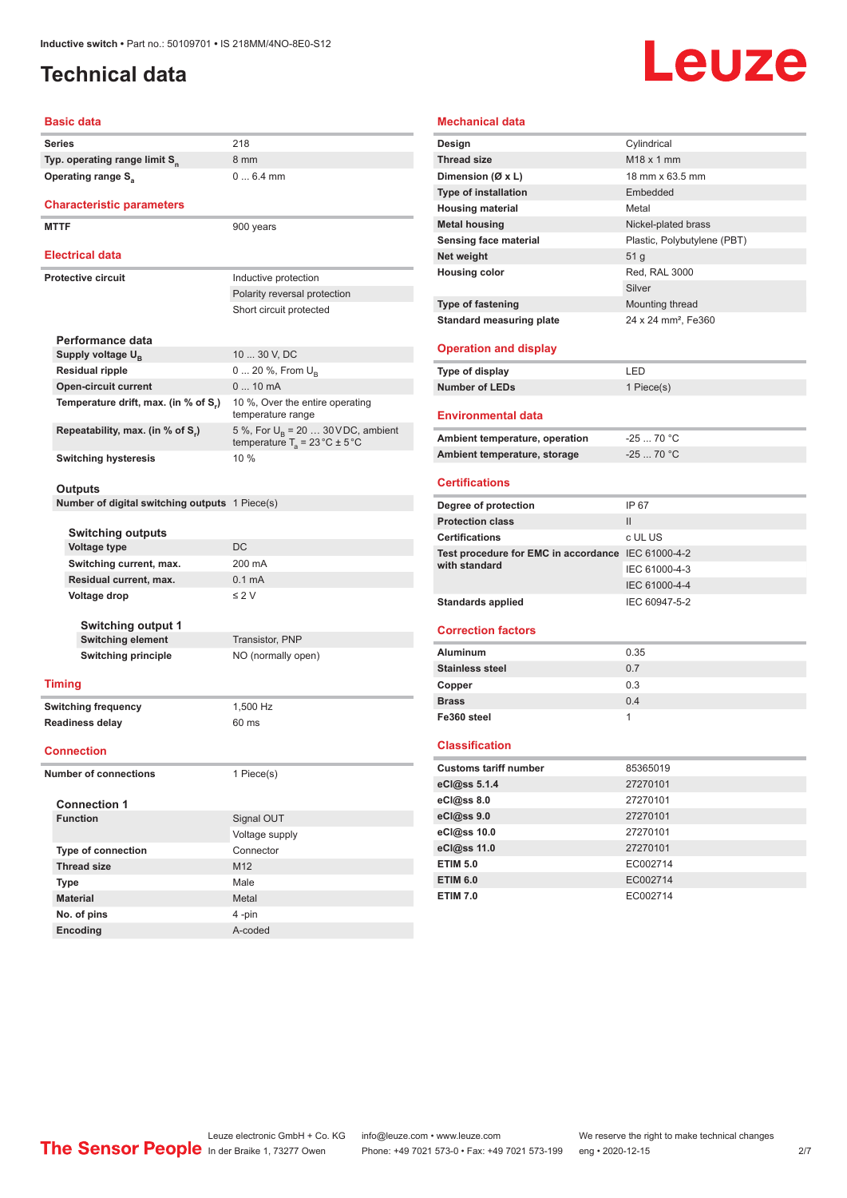# <span id="page-1-0"></span>**Technical data**

# **Leuze**

#### **Basic data**

| <b>Dasic data</b>                              |                                                                                          |
|------------------------------------------------|------------------------------------------------------------------------------------------|
| <b>Series</b>                                  | 218                                                                                      |
| Typ. operating range limit S <sub>n</sub>      | 8 mm                                                                                     |
| <b>Operating range S</b> <sub>a</sub>          | $06.4$ mm                                                                                |
|                                                |                                                                                          |
| <b>Characteristic parameters</b>               |                                                                                          |
| <b>MTTF</b>                                    | 900 years                                                                                |
| <b>Electrical data</b>                         |                                                                                          |
|                                                |                                                                                          |
| <b>Protective circuit</b>                      | Inductive protection                                                                     |
|                                                | Polarity reversal protection                                                             |
|                                                | Short circuit protected                                                                  |
| Performance data                               |                                                                                          |
| Supply voltage $U_{B}$                         | 10  30 V, DC                                                                             |
| <b>Residual ripple</b>                         | 0  20 %, From U <sub>B</sub>                                                             |
| <b>Open-circuit current</b>                    | $010$ mA                                                                                 |
| Temperature drift, max. (in % of S,)           | 10 %, Over the entire operating<br>temperature range                                     |
| Repeatability, max. (in % of S.)               | 5 %, For $U_B$ = 20  30 VDC, ambient<br>temperature $T_a = 23 \degree C \pm 5 \degree C$ |
| <b>Switching hysteresis</b>                    | 10%                                                                                      |
|                                                |                                                                                          |
| Outputs                                        |                                                                                          |
| Number of digital switching outputs 1 Piece(s) |                                                                                          |
| <b>Switching outputs</b>                       |                                                                                          |
| <b>Voltage type</b>                            | <b>DC</b>                                                                                |
| Switching current, max.                        | 200 mA                                                                                   |
| Residual current, max.                         | 0.1 <sub>m</sub> A                                                                       |
| Voltage drop                                   | $\leq$ 2 V                                                                               |
|                                                |                                                                                          |
| <b>Switching output 1</b>                      |                                                                                          |
| <b>Switching element</b>                       | Transistor, PNP                                                                          |
| <b>Switching principle</b>                     | NO (normally open)                                                                       |
| <b>Timing</b>                                  |                                                                                          |
| <b>Switching frequency</b>                     | 1,500 Hz                                                                                 |
| <b>Readiness delay</b>                         | 60 ms                                                                                    |
|                                                |                                                                                          |
| <b>Connection</b>                              |                                                                                          |
| <b>Number of connections</b>                   | 1 Piece(s)                                                                               |
| <b>Connection 1</b>                            |                                                                                          |
| <b>Function</b>                                | Signal OUT                                                                               |
|                                                | Voltage supply                                                                           |
| <b>Type of connection</b>                      | Connector                                                                                |
| <b>Thread size</b>                             | M12                                                                                      |
| Type                                           | Male                                                                                     |
| <b>Material</b>                                | Metal                                                                                    |
| No. of pins                                    | 4-pin                                                                                    |

| <b>Mechanical data</b>                             |                                 |
|----------------------------------------------------|---------------------------------|
| Design                                             | Cylindrical                     |
| <b>Thread size</b>                                 | M <sub>18</sub> x 1 mm          |
| Dimension (Ø x L)                                  | 18 mm x 63.5 mm                 |
| <b>Type of installation</b>                        | Embedded                        |
| <b>Housing material</b>                            | Metal                           |
| <b>Metal housing</b>                               | Nickel-plated brass             |
| Sensing face material                              | Plastic, Polybutylene (PBT)     |
| Net weight                                         | 51 <sub>g</sub>                 |
| <b>Housing color</b>                               | Red, RAL 3000                   |
|                                                    | Silver                          |
| <b>Type of fastening</b>                           | Mounting thread                 |
| <b>Standard measuring plate</b>                    | 24 x 24 mm <sup>2</sup> , Fe360 |
|                                                    |                                 |
| <b>Operation and display</b>                       |                                 |
| <b>Type of display</b>                             | LED                             |
| <b>Number of LEDs</b>                              | 1 Piece(s)                      |
| <b>Environmental data</b>                          |                                 |
| Ambient temperature, operation                     | $-2570 °C$                      |
| Ambient temperature, storage                       | $-2570 °C$                      |
|                                                    |                                 |
| <b>Certifications</b>                              |                                 |
| Degree of protection                               | IP 67                           |
| <b>Protection class</b>                            | $\mathbf{H}$                    |
| <b>Certifications</b>                              | c UL US                         |
| Test procedure for EMC in accordance IEC 61000-4-2 |                                 |
| with standard                                      | IEC 61000-4-3                   |
|                                                    | IEC 61000-4-4                   |
| <b>Standards applied</b>                           | IEC 60947-5-2                   |
| <b>Correction factors</b>                          |                                 |
|                                                    |                                 |
| <b>Aluminum</b>                                    | 0.35                            |
| <b>Stainless steel</b>                             | 0.7                             |
| Copper                                             | 0.3                             |
| <b>Brass</b>                                       | 0.4                             |
| Fe360 steel                                        | 1                               |
| Classification                                     |                                 |
| <b>Customs tariff number</b>                       | 85365019                        |
| eCl@ss 5.1.4                                       | 27270101                        |
| eCl@ss 8.0                                         | 27270101                        |
| eCl@ss 9.0                                         | 27270101                        |
| eCl@ss 10.0                                        | 27270101                        |
| eCl@ss 11.0                                        | 27270101                        |
| <b>ETIM 5.0</b>                                    | EC002714                        |
| <b>ETIM 6.0</b>                                    | EC002714                        |
| <b>ETIM 7.0</b>                                    | EC002714                        |

**Encoding** A-coded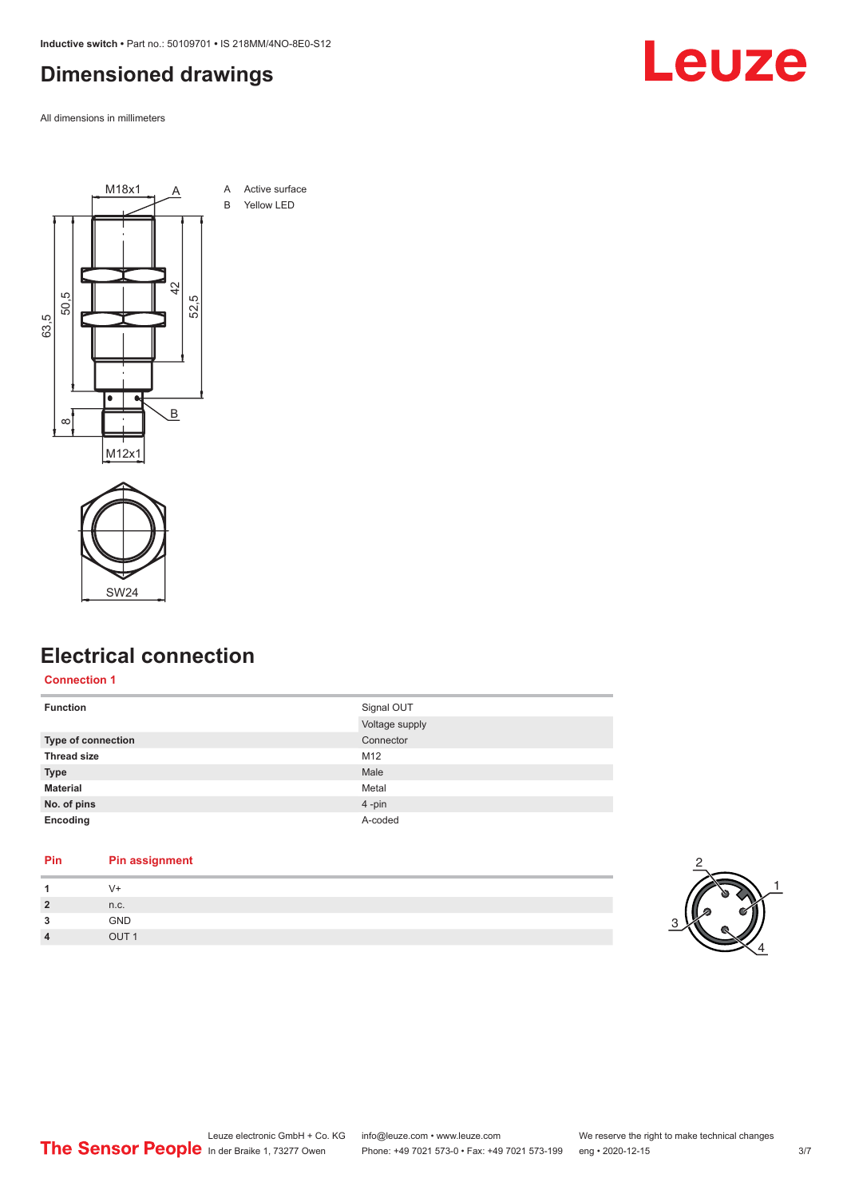<span id="page-2-0"></span>**Inductive switch •** Part no.: 50109701 **•** IS 218MM/4NO-8E0-S12

### **Dimensioned drawings**

All dimensions in millimeters





## **Electrical connection**

#### **Connection 1**

| <b>Function</b>           | Signal OUT     |
|---------------------------|----------------|
|                           | Voltage supply |
| <b>Type of connection</b> | Connector      |
| <b>Thread size</b>        | M12            |
| <b>Type</b>               | Male           |
| <b>Material</b>           | Metal          |
| No. of pins               | 4-pin          |
| Encoding                  | A-coded        |

#### **Pin Pin assignment**

| -1             | $V +$ |
|----------------|-------|
| $\overline{2}$ | n.c.  |
| 3              | GND   |
| 4              | QIIT1 |



Leuze

# Leuze electronic GmbH + Co. KG info@leuze.com • www.leuze.com We reserve the right to make technical changes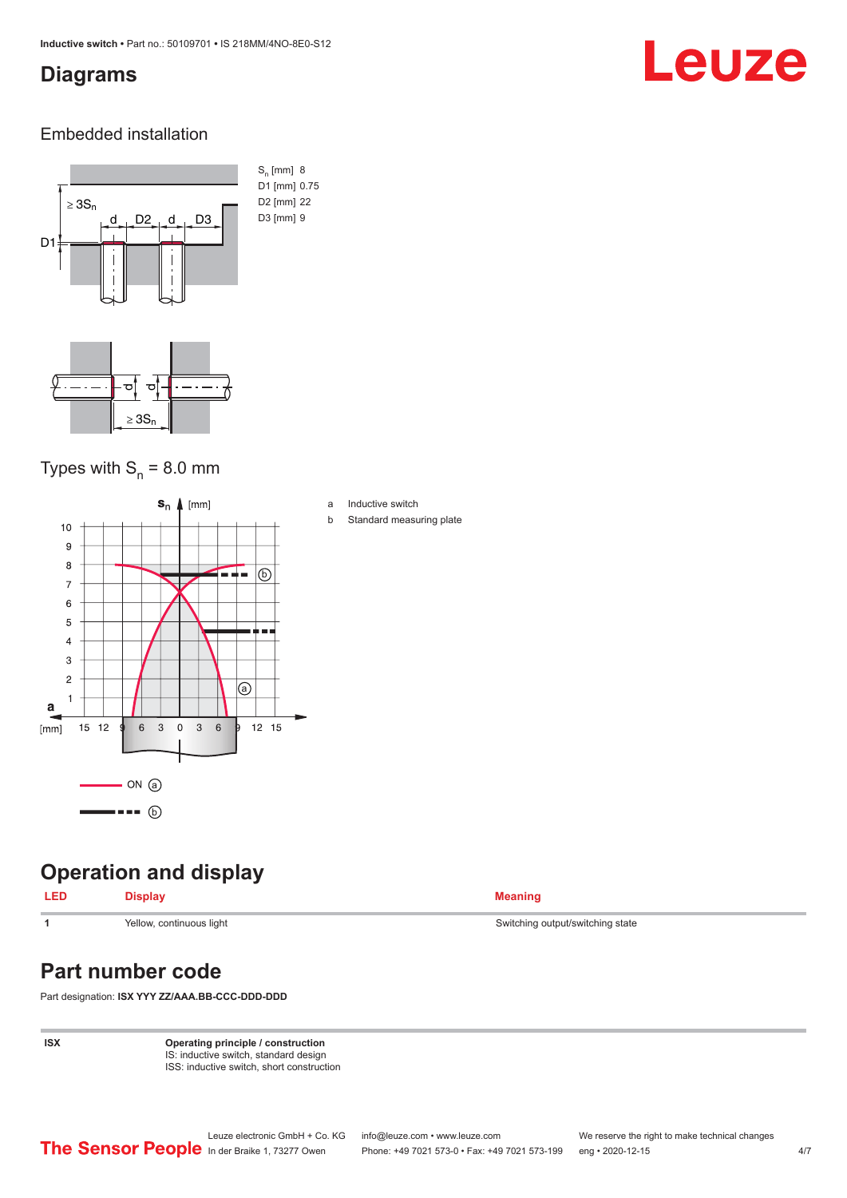### <span id="page-3-0"></span>**Diagrams**

# Leuze

#### Embedded installation



### Types with  $S_{n}$  = 8.0 mm



## **Operation and display**

#### **LED Display Meaning**

# **Part number code**

Part designation: **ISX YYY ZZ/AAA.BB-CCC-DDD-DDD**

**ISX Operating principle / construction** IS: inductive switch, standard design ISS: inductive switch, short construction

**1** Yellow, continuous light Switching state Switching output/switching state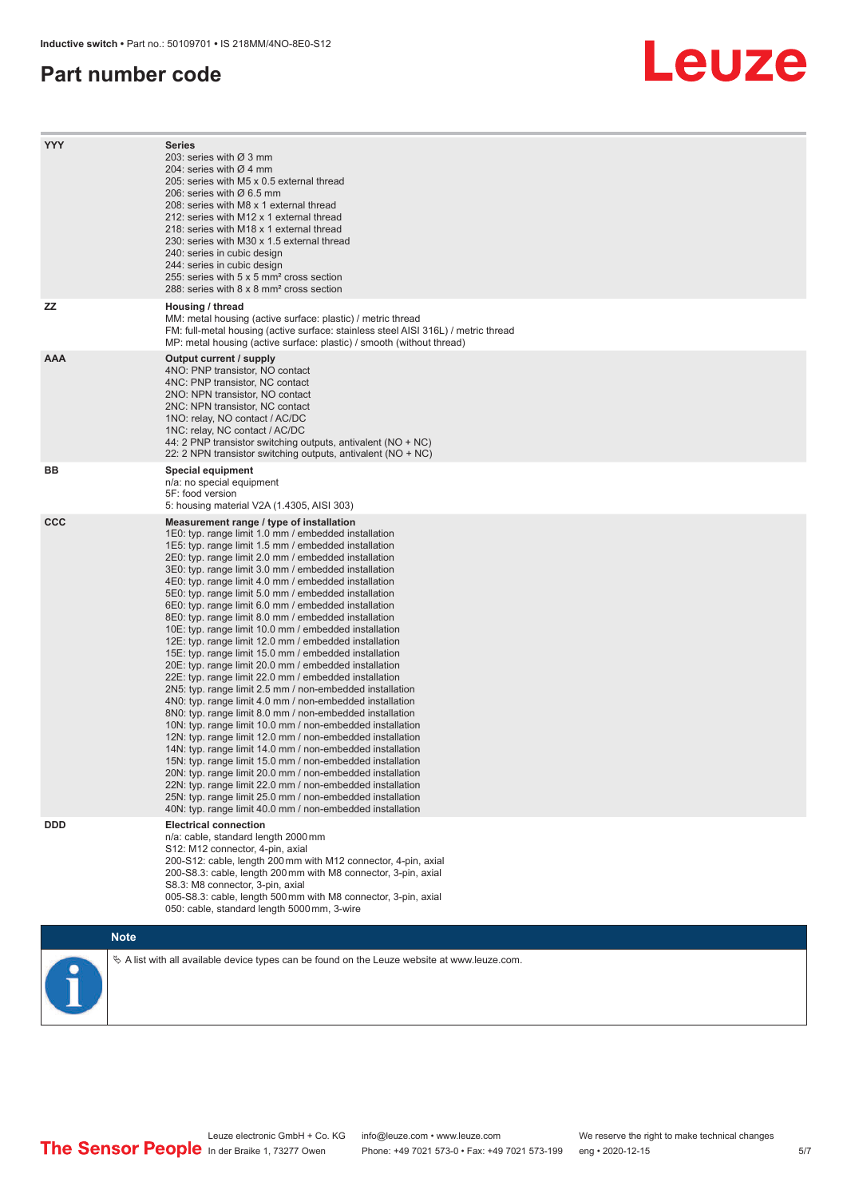#### **Part number code**

# Leuze

| <b>YYY</b> | <b>Series</b><br>203: series with Ø 3 mm<br>204: series with $\varnothing$ 4 mm<br>205: series with M5 x 0.5 external thread<br>206: series with $\varnothing$ 6.5 mm<br>208: series with M8 x 1 external thread<br>212: series with M12 x 1 external thread<br>218: series with M18 x 1 external thread<br>230: series with M30 x 1.5 external thread<br>240: series in cubic design<br>244: series in cubic design<br>255: series with 5 x 5 mm <sup>2</sup> cross section<br>288: series with 8 x 8 mm <sup>2</sup> cross section                                                                                                                                                                                                                                                                                                                                                                                                                                                                                                                                                                                                                                                                                                                                                                                                                                                                                                                                                              |
|------------|---------------------------------------------------------------------------------------------------------------------------------------------------------------------------------------------------------------------------------------------------------------------------------------------------------------------------------------------------------------------------------------------------------------------------------------------------------------------------------------------------------------------------------------------------------------------------------------------------------------------------------------------------------------------------------------------------------------------------------------------------------------------------------------------------------------------------------------------------------------------------------------------------------------------------------------------------------------------------------------------------------------------------------------------------------------------------------------------------------------------------------------------------------------------------------------------------------------------------------------------------------------------------------------------------------------------------------------------------------------------------------------------------------------------------------------------------------------------------------------------------|
| ΖZ         | Housing / thread<br>MM: metal housing (active surface: plastic) / metric thread<br>FM: full-metal housing (active surface: stainless steel AISI 316L) / metric thread<br>MP: metal housing (active surface: plastic) / smooth (without thread)                                                                                                                                                                                                                                                                                                                                                                                                                                                                                                                                                                                                                                                                                                                                                                                                                                                                                                                                                                                                                                                                                                                                                                                                                                                    |
| <b>AAA</b> | Output current / supply<br>4NO: PNP transistor, NO contact<br>4NC: PNP transistor, NC contact<br>2NO: NPN transistor, NO contact<br>2NC: NPN transistor, NC contact<br>1NO: relay, NO contact / AC/DC<br>1NC: relay, NC contact / AC/DC<br>44: 2 PNP transistor switching outputs, antivalent (NO + NC)<br>22: 2 NPN transistor switching outputs, antivalent (NO + NC)                                                                                                                                                                                                                                                                                                                                                                                                                                                                                                                                                                                                                                                                                                                                                                                                                                                                                                                                                                                                                                                                                                                           |
| BВ         | Special equipment<br>n/a: no special equipment<br>5F: food version<br>5: housing material V2A (1.4305, AISI 303)                                                                                                                                                                                                                                                                                                                                                                                                                                                                                                                                                                                                                                                                                                                                                                                                                                                                                                                                                                                                                                                                                                                                                                                                                                                                                                                                                                                  |
| <b>CCC</b> | Measurement range / type of installation<br>1E0: typ. range limit 1.0 mm / embedded installation<br>1E5: typ. range limit 1.5 mm / embedded installation<br>2E0: typ. range limit 2.0 mm / embedded installation<br>3E0: typ. range limit 3.0 mm / embedded installation<br>4E0: typ. range limit 4.0 mm / embedded installation<br>5E0: typ. range limit 5.0 mm / embedded installation<br>6E0: typ. range limit 6.0 mm / embedded installation<br>8E0: typ. range limit 8.0 mm / embedded installation<br>10E: typ. range limit 10.0 mm / embedded installation<br>12E: typ. range limit 12.0 mm / embedded installation<br>15E: typ. range limit 15.0 mm / embedded installation<br>20E: typ. range limit 20.0 mm / embedded installation<br>22E: typ. range limit 22.0 mm / embedded installation<br>2N5: typ. range limit 2.5 mm / non-embedded installation<br>4N0: typ. range limit 4.0 mm / non-embedded installation<br>8N0: typ. range limit 8.0 mm / non-embedded installation<br>10N: typ. range limit 10.0 mm / non-embedded installation<br>12N: typ. range limit 12.0 mm / non-embedded installation<br>14N: typ. range limit 14.0 mm / non-embedded installation<br>15N: typ. range limit 15.0 mm / non-embedded installation<br>20N: typ. range limit 20.0 mm / non-embedded installation<br>22N: typ. range limit 22.0 mm / non-embedded installation<br>25N: typ. range limit 25.0 mm / non-embedded installation<br>40N: typ. range limit 40.0 mm / non-embedded installation |
| <b>DDD</b> | <b>Electrical connection</b><br>n/a: cable, standard length 2000 mm<br>S12: M12 connector, 4-pin, axial<br>200-S12: cable, length 200 mm with M12 connector, 4-pin, axial<br>200-S8.3: cable, length 200 mm with M8 connector, 3-pin, axial<br>S8.3: M8 connector, 3-pin, axial<br>005-S8.3: cable, length 500 mm with M8 connector, 3-pin, axial<br>050: cable, standard length 5000 mm, 3-wire                                                                                                                                                                                                                                                                                                                                                                                                                                                                                                                                                                                                                                                                                                                                                                                                                                                                                                                                                                                                                                                                                                  |
|            | <b>Note</b>                                                                                                                                                                                                                                                                                                                                                                                                                                                                                                                                                                                                                                                                                                                                                                                                                                                                                                                                                                                                                                                                                                                                                                                                                                                                                                                                                                                                                                                                                       |
|            | $\&$ A list with all available device types can be found on the Leuze website at www.leuze.com.                                                                                                                                                                                                                                                                                                                                                                                                                                                                                                                                                                                                                                                                                                                                                                                                                                                                                                                                                                                                                                                                                                                                                                                                                                                                                                                                                                                                   |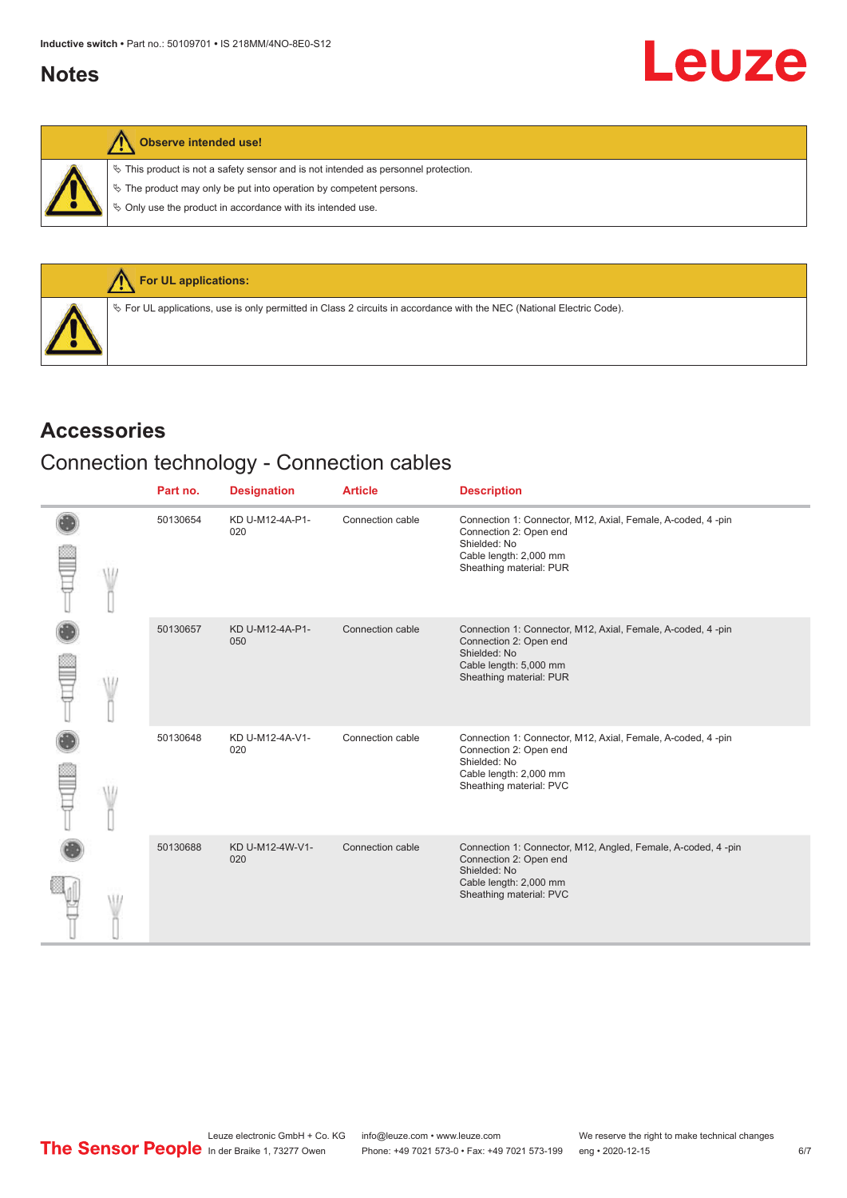### <span id="page-5-0"></span>**Notes**

 $\%$  This product is not a safety sensor and is not intended as personnel protection.

 $\&$  The product may only be put into operation by competent persons.

 $\%$  Only use the product in accordance with its intended use.



### **Accessories**

## Connection technology - Connection cables

|  | Part no. | <b>Designation</b>     | <b>Article</b>   | <b>Description</b>                                                                                                                                           |
|--|----------|------------------------|------------------|--------------------------------------------------------------------------------------------------------------------------------------------------------------|
|  | 50130654 | KD U-M12-4A-P1-<br>020 | Connection cable | Connection 1: Connector, M12, Axial, Female, A-coded, 4 -pin<br>Connection 2: Open end<br>Shielded: No<br>Cable length: 2,000 mm<br>Sheathing material: PUR  |
|  | 50130657 | KD U-M12-4A-P1-<br>050 | Connection cable | Connection 1: Connector, M12, Axial, Female, A-coded, 4-pin<br>Connection 2: Open end<br>Shielded: No<br>Cable length: 5,000 mm<br>Sheathing material: PUR   |
|  | 50130648 | KD U-M12-4A-V1-<br>020 | Connection cable | Connection 1: Connector, M12, Axial, Female, A-coded, 4-pin<br>Connection 2: Open end<br>Shielded: No<br>Cable length: 2,000 mm<br>Sheathing material: PVC   |
|  | 50130688 | KD U-M12-4W-V1-<br>020 | Connection cable | Connection 1: Connector, M12, Angled, Female, A-coded, 4 -pin<br>Connection 2: Open end<br>Shielded: No<br>Cable length: 2,000 mm<br>Sheathing material: PVC |

Leuze